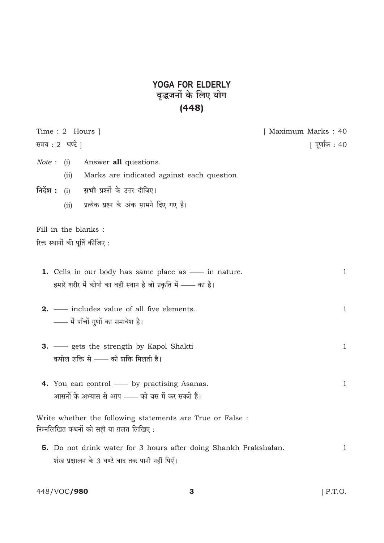## YOGA FOR ELDERLY<br>वृद्धजनों के लिए योग<br>(448)

| Time: 2 Hours                                                                                                              | [ Maximum Marks : 40 |
|----------------------------------------------------------------------------------------------------------------------------|----------------------|
| समय : 2 घण्टे                                                                                                              | [ पूर्णांक : 40      |
| Note: (i)<br>Answer <b>all</b> questions.                                                                                  |                      |
| Marks are indicated against each question.<br>(iii)                                                                        |                      |
| निर्देश :<br><b>सभी</b> प्रश्नों के उत्तर दीजिए।<br>(i)                                                                    |                      |
| प्रत्येक प्रश्न के अंक सामने दिए गए हैं।<br>(ii)                                                                           |                      |
| Fill in the blanks :                                                                                                       |                      |
| रिक्त स्थानों की पूर्ति कीजिए :                                                                                            |                      |
| 1. Cells in our body has same place as — in nature.<br>हमारे शरीर में कोषों का वही स्थान है जो प्रकृति में —— का है।       | $\mathbf{1}$         |
| <b>2.</b> — includes value of all five elements.<br>—— में पाँचों गुणों का समावेश है।                                      | $\mathbf{1}$         |
| 3. - gets the strength by Kapol Shakti<br>कपोल शक्ति से —— को शक्ति मिलती है।                                              | $\mathbf{1}$         |
| 4. You can control - by practising Asanas.<br>आसनों के अभ्यास से आप —— को बस में कर सकते हैं।                              | $\mathbf{1}$         |
| Write whether the following statements are True or False :<br>निम्नलिखित कथनों को सही या ग़लत लिखिए :                      |                      |
| <b>5.</b> Do not drink water for 3 hours after doing Shankh Prakshalan.<br>शंख प्रक्षालन के 3 घण्टे बाद तक पानी नहीं पिएँ। | 1                    |

448/VOC/980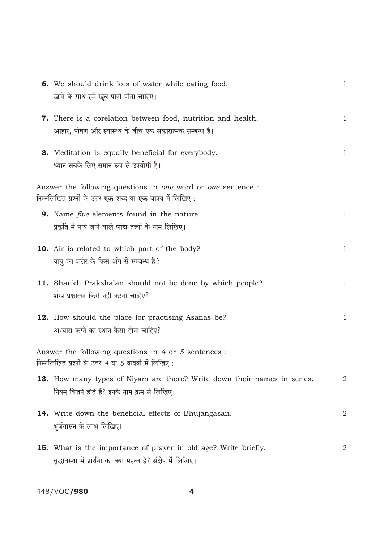| 6. We should drink lots of water while eating food.                                                                                        | $\mathbf{1}$ |
|--------------------------------------------------------------------------------------------------------------------------------------------|--------------|
| खाने के साथ हमें खूब पानी पीना चाहिए।                                                                                                      |              |
| 7. There is a corelation between food, nutrition and health.<br>आहार, पोषण और स्वास्थ्य के बीच एक सकारात्मक सम्बन्ध है।                    | $\mathbf{1}$ |
| 8. Meditation is equally beneficial for everybody.<br>ध्यान सबके लिए समान रूप से उपयोगी है।                                                | $\mathbf{1}$ |
| Answer the following questions in one word or one sentence :<br>निम्नलिखित प्रश्नों के उत्तर <b>एक</b> शब्द या <b>एक</b> वाक्य में लिखिए : |              |
| 9. Name <i>five</i> elements found in the nature.<br>प्रकृति में पाये जाने वाले <b>पाँच</b> तत्त्वों के नाम लिखिए।                         | $\mathbf{1}$ |
| <b>10.</b> Air is related to which part of the body?<br>वायु का शरीर के किस अंग से सम्बन्ध है?                                             | $\mathbf{1}$ |
| 11. Shankh Prakshalan should not be done by which people?<br>शंख प्रक्षालन किसे नहीं करना चाहिए?                                           | $\mathbf{1}$ |
| 12. How should the place for practising Asanas be?<br>अभ्यास करने का स्थान कैसा होना चाहिए?                                                | $\mathbf{1}$ |
| Answer the following questions in $4$ or $5$ sentences :<br>निम्नलिखित प्रश्नों के उत्तर <i>4</i> या <i>5</i> वाक्यों में लिखिए :          |              |
| 13. How many types of Niyam are there? Write down their names in series.<br>नियम कितने होते हैं? इनके नाम क्रम से लिखिए।                   | $\mathbf 2$  |
| 14. Write down the beneficial effects of Bhujangasan.<br>भुजंगासन के लाभ लिखिए।                                                            | 2            |
| <b>15.</b> What is the importance of prayer in old age? Write briefly.<br>वृद्धावस्था में प्रार्थना का क्या महत्व है? संक्षेप में लिखिए।   | $\mathbf 2$  |